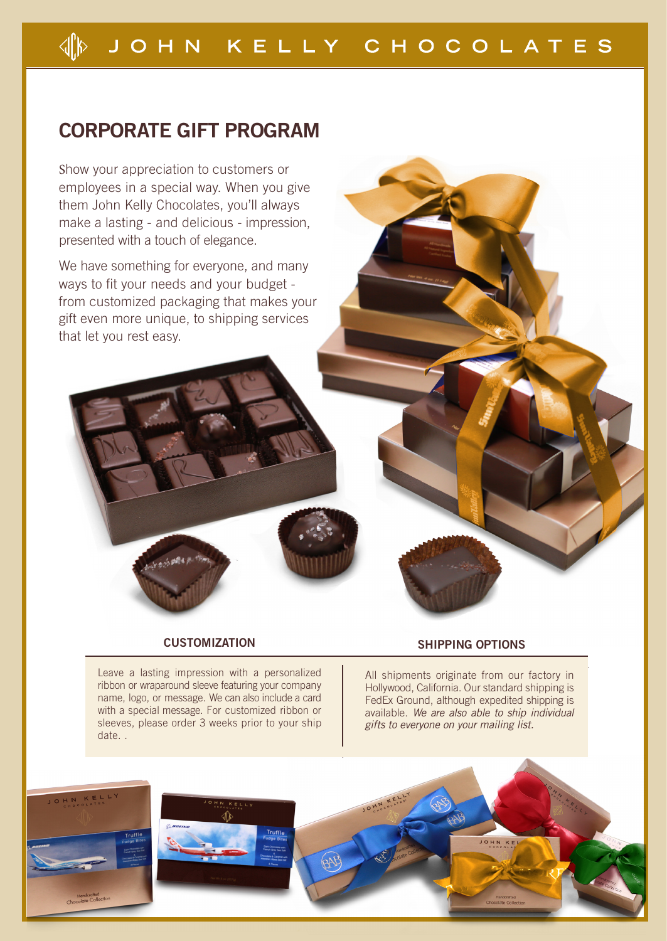# **CORPORATE GIFT PROGRAM**

Show your appreciation to customers or employees in a special way. When you give them John Kelly Chocolates, you'll always make a lasting - and delicious - impression, presented with a touch of elegance.

We have something for everyone, and many ways to fit your needs and your budget from customized packaging that makes your gift even more unique, to shipping services that let you rest easy.

## **CUSTOMIZATION**

Leave a lasting impression with a personalized ribbon or wraparound sleeve featuring your company name, logo, or message. We can also include a card with a special message. For customized ribbon or sleeves, please order 3 weeks prior to your ship date. .

## **SHIPPING OPTIONS**

All shipments originate from our factory in Hollywood, California. Our standard shipping is FedEx Ground, although expedited shipping is available. We are also able to ship individual gifts to everyone on your mailing list.